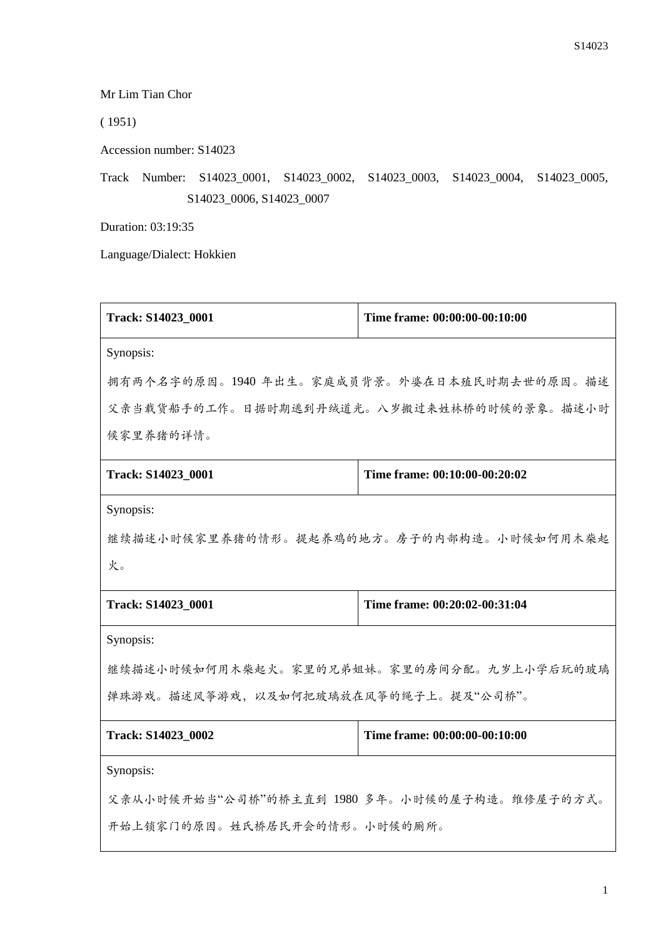Mr Lim Tian Chor

( 1951)

Accession number: S14023

Track Number: S14023\_0001, S14023\_0002, S14023\_0003, S14023\_0004, S14023\_0005, S14023\_0006, S14023\_0007

Duration: 03:19:35

Language/Dialect: Hokkien

| Track: S14023_0001                            | Time frame: 00:00:00-00:10:00              |
|-----------------------------------------------|--------------------------------------------|
| Synopsis:                                     |                                            |
|                                               | 拥有两个名字的原因。1940年出生。家庭成员背景。外婆在日本殖民时期去世的原因。描述 |
| 父亲当载货船手的工作。日据时期逃到丹绒道光。八岁搬过来姓林桥的时候的景象。描述小时     |                                            |
| 候家里养猪的详情。                                     |                                            |
| Track: S14023 0001                            | Time frame: 00:10:00-00:20:02              |
| Synopsis:                                     |                                            |
| 继续描述小时候家里养猪的情形。提起养鸡的地方。房子的内部构造。小时候如何用木柴起      |                                            |
| 火。                                            |                                            |
| Track: S14023_0001                            | Time frame: 00:20:02-00:31:04              |
| Synopsis:                                     |                                            |
| 继续描述小时候如何用木柴起火。家里的兄弟姐妹。家里的房间分配。九岁上小学后玩的玻璃     |                                            |
| 弹珠游戏。描述风筝游戏, 以及如何把玻璃放在风筝的绳子上。提及"公司桥"。         |                                            |
| Track: S14023 0002                            | Time frame: 00:00:00-00:10:00              |
| Synopsis:                                     |                                            |
| 父亲从小时候开始当"公司桥"的桥主直到 1980 多年。小时候的屋子构造。维修屋子的方式。 |                                            |
| 开始上锁家门的原因。姓氏桥居民开会的情形。小时候的厕所。                  |                                            |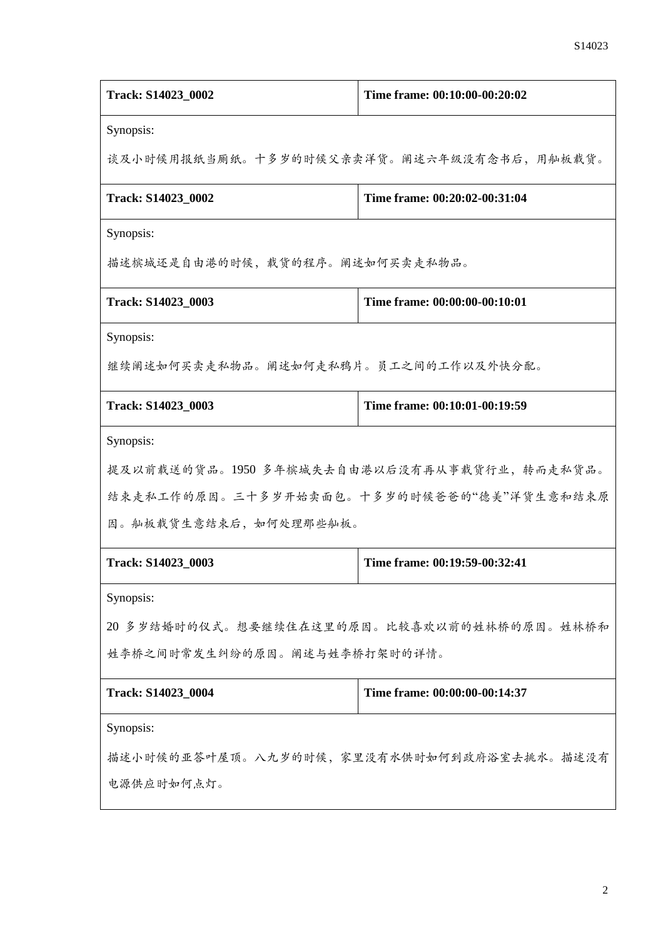| Track: S14023_0002                         | Time frame: 00:10:00-00:20:02             |  |
|--------------------------------------------|-------------------------------------------|--|
| Synopsis:                                  |                                           |  |
| 谈及小时候用报纸当厕纸。十多岁的时候父亲卖洋货。阐述六年级没有念书后,用舢板载货。  |                                           |  |
| Track: S14023_0002                         | Time frame: 00:20:02-00:31:04             |  |
| Synopsis:                                  |                                           |  |
| 描述槟城还是自由港的时候,载货的程序。阐述如何买卖走私物品。             |                                           |  |
| Track: S14023 0003                         | Time frame: 00:00:00-00:10:01             |  |
| Synopsis:                                  |                                           |  |
| 继续阐述如何买卖走私物品。阐述如何走私鸦片。员工之间的工作以及外快分配。       |                                           |  |
| Track: S14023_0003                         | Time frame: 00:10:01-00:19:59             |  |
| Synopsis:                                  |                                           |  |
| 提及以前载送的货品。1950多年槟城失去自由港以后没有再从事载货行业,转而走私货品。 |                                           |  |
|                                            | 结束走私工作的原因。三十多岁开始卖面包。十多岁的时候爸爸的"德美"洋货生意和结束原 |  |
| 因。舢板载货生意结束后, 如何处理那些舢板。                     |                                           |  |
| Track: S14023_0003                         | Time frame: 00:19:59-00:32:41             |  |
| Synopsis:                                  |                                           |  |
| 20 多岁结婚时的仪式。想要继续住在这里的原因。比较喜欢以前的姓林桥的原因。姓林桥和 |                                           |  |
| 姓李桥之间时常发生纠纷的原因。阐述与姓李桥打架时的详情。               |                                           |  |
| Track: S14023_0004                         | Time frame: 00:00:00-00:14:37             |  |
| Synopsis:                                  |                                           |  |
| 描述小时候的亚答叶屋顶。八九岁的时候,家里没有水供时如何到政府浴室去挑水。描述没有  |                                           |  |
| 电源供应时如何点灯。                                 |                                           |  |
|                                            |                                           |  |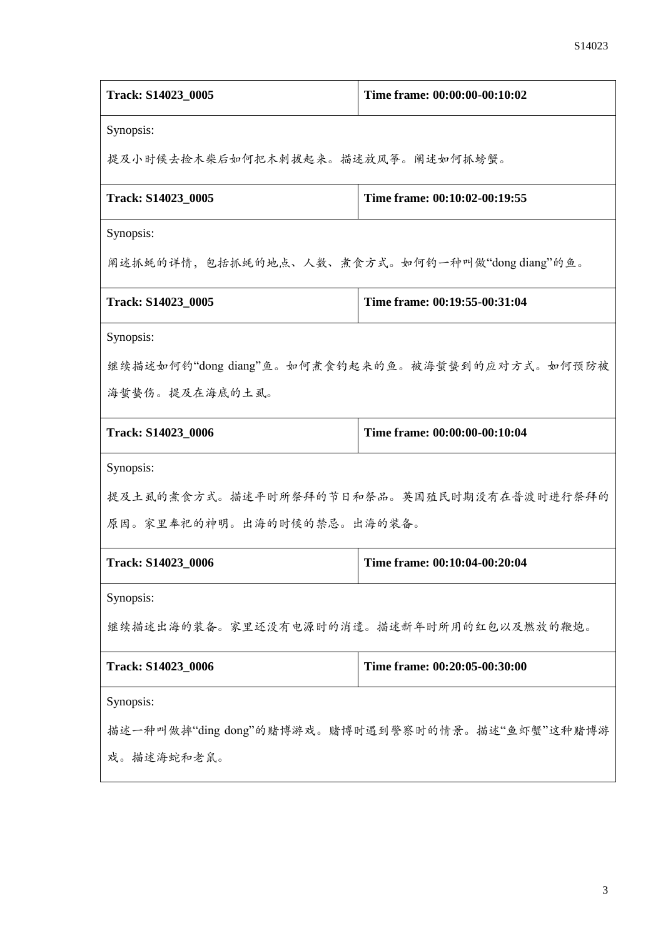| Track: S14023_0005                               | Time frame: 00:00:00-00:10:02                  |  |
|--------------------------------------------------|------------------------------------------------|--|
| Synopsis:                                        |                                                |  |
| 提及小时候去捡木柴后如何把木刺拔起来。描述放风筝。阐述如何抓螃蟹。                |                                                |  |
| Track: S14023_0005                               | Time frame: 00:10:02-00:19:55                  |  |
| Synopsis:                                        |                                                |  |
|                                                  | 阐述抓蚝的详情,包括抓蚝的地点、人数、煮食方式。如何钓一种叫做"dong diang"的鱼。 |  |
| Track: S14023_0005                               | Time frame: 00:19:55-00:31:04                  |  |
| Synopsis:                                        |                                                |  |
| 继续描述如何钓"dong diang"鱼。如何煮食钓起来的鱼。被海蜇蛰到的应对方式。如何预防被  |                                                |  |
| 海蜇蛰伤。提及在海底的土虱。                                   |                                                |  |
| Track: S14023_0006                               | Time frame: 00:00:00-00:10:04                  |  |
| Synopsis:                                        |                                                |  |
|                                                  | 提及土虱的煮食方式。描述平时所祭拜的节日和祭品。英国殖民时期没有在普渡时进行祭拜的      |  |
| 原因。家里奉祀的神明。出海的时候的禁忌。出海的装备。                       |                                                |  |
| Track: S14023_0006                               | Time frame: 00:10:04-00:20:04                  |  |
| Synopsis:                                        |                                                |  |
| 继续描述出海的装备。家里还没有电源时的消遣。描述新年时所用的红包以及燃放的鞭炮。         |                                                |  |
| Track: S14023_0006                               | Time frame: 00:20:05-00:30:00                  |  |
| Synopsis:                                        |                                                |  |
| 描述一种叫做摔"ding dong"的赌博游戏。赌博时遇到警察时的情景。描述"鱼虾蟹"这种赌博游 |                                                |  |
| 戏。描述海蛇和老鼠。                                       |                                                |  |
|                                                  |                                                |  |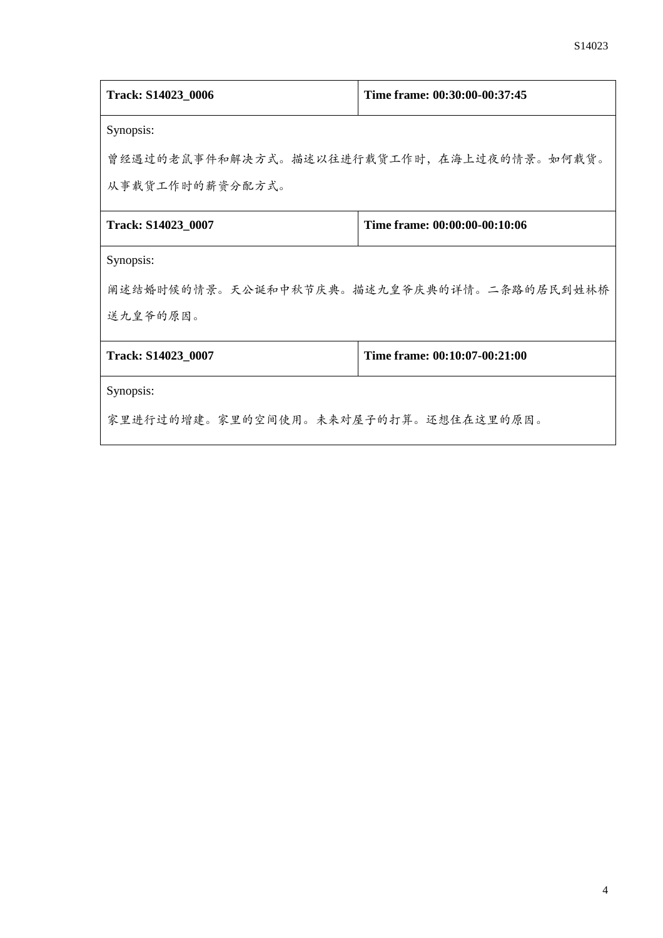| Track: S14023_0006                        | Time frame: 00:30:00-00:37:45 |
|-------------------------------------------|-------------------------------|
| Synopsis:                                 |                               |
| 曾经遇过的老鼠事件和解决方式。描述以往进行载货工作时,在海上过夜的情景。如何载货。 |                               |
| 从事载货工作时的薪资分配方式。                           |                               |
| Track: S14023_0007                        | Time frame: 00:00:00-00:10:06 |
| Synopsis:                                 |                               |
| 阐述结婚时候的情景。天公诞和中秋节庆典。描述九皇爷庆典的详情。二条路的居民到姓林桥 |                               |
| 送九皇爷的原因。                                  |                               |
| Track: S14023_0007                        | Time frame: 00:10:07-00:21:00 |
| Synopsis:                                 |                               |
| 家里进行过的增建。家里的空间使用。未来对屋子的打算。还想住在这里的原因。      |                               |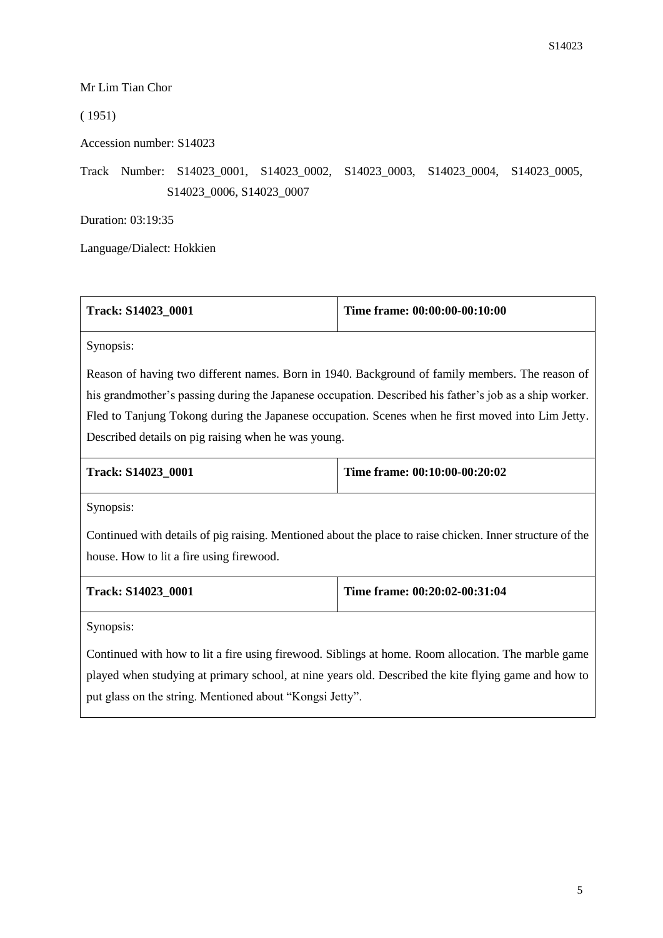## Mr Lim Tian Chor

## ( 1951)

Accession number: S14023

Track Number: S14023\_0001, S14023\_0002, S14023\_0003, S14023\_0004, S14023\_0005, S14023\_0006, S14023\_0007

Duration: 03:19:35

Language/Dialect: Hokkien

| Track: S14023 0001 | Time frame: $00:00:00-00:10:00$ |
|--------------------|---------------------------------|
|                    |                                 |

Synopsis:

Reason of having two different names. Born in 1940. Background of family members. The reason of his grandmother's passing during the Japanese occupation. Described his father's job as a ship worker. Fled to Tanjung Tokong during the Japanese occupation. Scenes when he first moved into Lim Jetty. Described details on pig raising when he was young.

| <b>Track: S14023 0001</b> | Time frame: $00:10:00-00:20:02$ |
|---------------------------|---------------------------------|
|                           |                                 |

Synopsis:

Continued with details of pig raising. Mentioned about the place to raise chicken. Inner structure of the house. How to lit a fire using firewood.

| <b>Track: S14023 0001</b> | Time frame: $00:20:02-00:31:04$ |
|---------------------------|---------------------------------|
|---------------------------|---------------------------------|

Synopsis:

Continued with how to lit a fire using firewood. Siblings at home. Room allocation. The marble game played when studying at primary school, at nine years old. Described the kite flying game and how to put glass on the string. Mentioned about "Kongsi Jetty".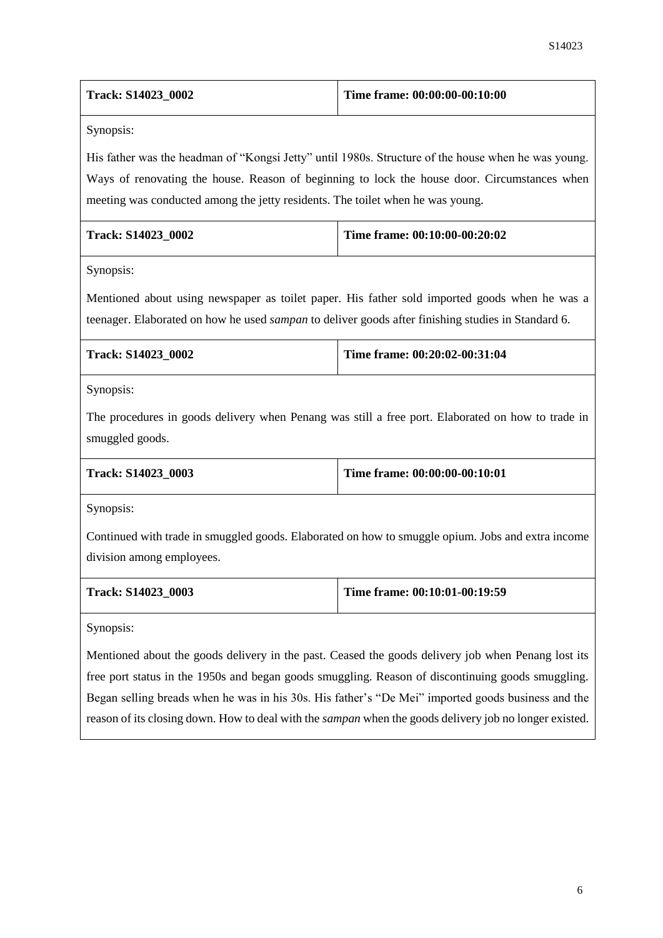| Track: S14023_0002                                                                                        | Time frame: 00:00:00-00:10:00                                                                       |
|-----------------------------------------------------------------------------------------------------------|-----------------------------------------------------------------------------------------------------|
| Synopsis:                                                                                                 |                                                                                                     |
|                                                                                                           | His father was the headman of "Kongsi Jetty" until 1980s. Structure of the house when he was young. |
|                                                                                                           | Ways of renovating the house. Reason of beginning to lock the house door. Circumstances when        |
| meeting was conducted among the jetty residents. The toilet when he was young.                            |                                                                                                     |
| Track: S14023_0002                                                                                        | Time frame: 00:10:00-00:20:02                                                                       |
| Synopsis:                                                                                                 |                                                                                                     |
|                                                                                                           | Mentioned about using newspaper as toilet paper. His father sold imported goods when he was a       |
| teenager. Elaborated on how he used <i>sampan</i> to deliver goods after finishing studies in Standard 6. |                                                                                                     |
| Track: S14023_0002                                                                                        | Time frame: 00:20:02-00:31:04                                                                       |
| Synopsis:                                                                                                 |                                                                                                     |
|                                                                                                           | The procedures in goods delivery when Penang was still a free port. Elaborated on how to trade in   |
| smuggled goods.                                                                                           |                                                                                                     |
| Track: S14023_0003                                                                                        | Time frame: 00:00:00-00:10:01                                                                       |
| Synopsis:                                                                                                 |                                                                                                     |
|                                                                                                           | Continued with trade in smuggled goods. Elaborated on how to smuggle opium. Jobs and extra income   |
| division among employees.                                                                                 |                                                                                                     |
| Track: S14023_0003                                                                                        | Time frame: 00:10:01-00:19:59                                                                       |
| Synopsis:                                                                                                 |                                                                                                     |
|                                                                                                           | Mentioned about the goods delivery in the past. Ceased the goods delivery job when Penang lost its  |
|                                                                                                           | free port status in the 1950s and began goods smuggling. Reason of discontinuing goods smuggling.   |
|                                                                                                           | Began selling breads when he was in his 30s. His father's "De Mei" imported goods business and the  |
| reason of its closing down. How to deal with the sampan when the goods delivery job no longer existed.    |                                                                                                     |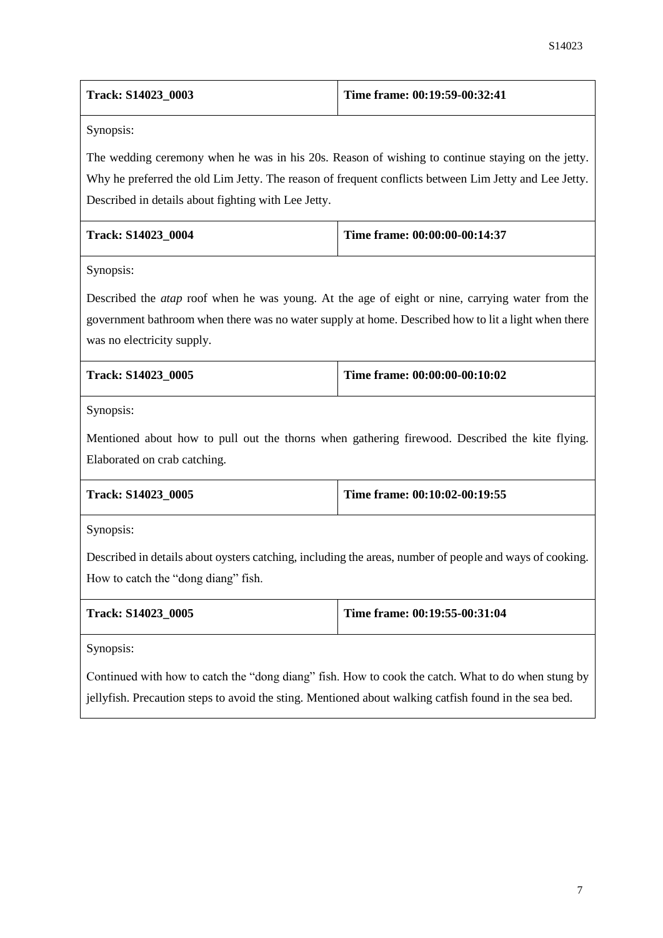| Track: S14023_0003                                  | Time frame: 00:19:59-00:32:41                                                                                                                                                                                 |
|-----------------------------------------------------|---------------------------------------------------------------------------------------------------------------------------------------------------------------------------------------------------------------|
| Synopsis:                                           |                                                                                                                                                                                                               |
| Described in details about fighting with Lee Jetty. | The wedding ceremony when he was in his 20s. Reason of wishing to continue staying on the jetty.<br>Why he preferred the old Lim Jetty. The reason of frequent conflicts between Lim Jetty and Lee Jetty.     |
| Track: S14023_0004                                  | Time frame: 00:00:00-00:14:37                                                                                                                                                                                 |
| Synopsis:                                           |                                                                                                                                                                                                               |
| was no electricity supply.                          | Described the <i>atap</i> roof when he was young. At the age of eight or nine, carrying water from the<br>government bathroom when there was no water supply at home. Described how to lit a light when there |
| Track: S14023_0005                                  | Time frame: 00:00:00-00:10:02                                                                                                                                                                                 |
| Synopsis:<br>Elaborated on crab catching.           | Mentioned about how to pull out the thorns when gathering firewood. Described the kite flying.                                                                                                                |
| Track: S14023_0005                                  | Time frame: 00:10:02-00:19:55                                                                                                                                                                                 |
| Synopsis:                                           |                                                                                                                                                                                                               |
| How to catch the "dong diang" fish.                 | Described in details about oysters catching, including the areas, number of people and ways of cooking.                                                                                                       |
| Track: S14023_0005                                  | Time frame: 00:19:55-00:31:04                                                                                                                                                                                 |
| Synopsis:                                           |                                                                                                                                                                                                               |
|                                                     | Continued with how to catch the "dong diang" fish. How to cook the catch. What to do when stung by                                                                                                            |